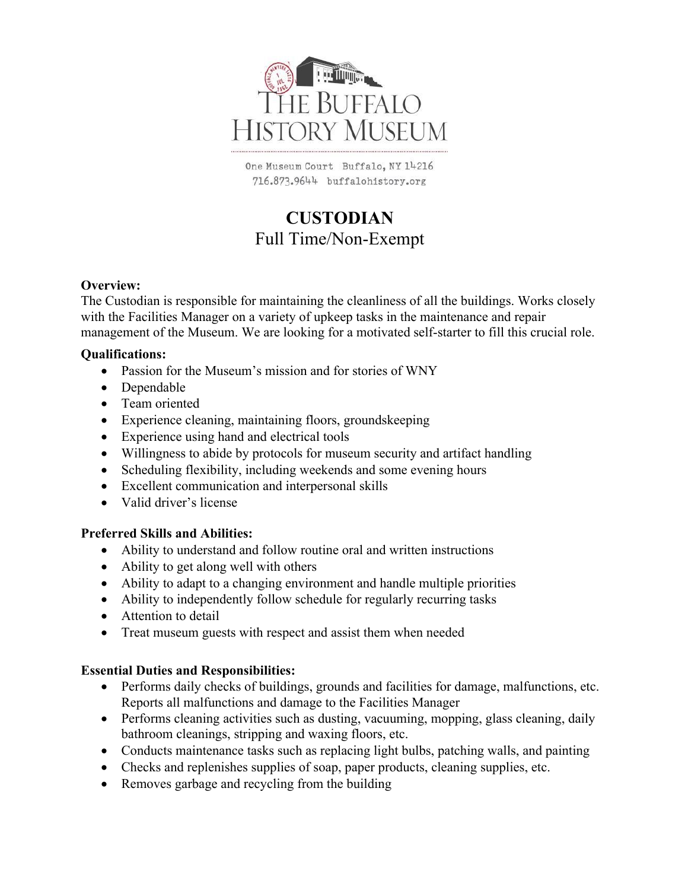

One Museum Court Buffalo, NY 14216 716.873.9644 buffalohistory.org

# **CUSTODIAN** Full Time/Non-Exempt

#### **Overview:**

The Custodian is responsible for maintaining the cleanliness of all the buildings. Works closely with the Facilities Manager on a variety of upkeep tasks in the maintenance and repair management of the Museum. We are looking for a motivated self-starter to fill this crucial role.

#### **Qualifications:**

- Passion for the Museum's mission and for stories of WNY
- Dependable
- Team oriented
- Experience cleaning, maintaining floors, groundskeeping
- Experience using hand and electrical tools
- Willingness to abide by protocols for museum security and artifact handling
- Scheduling flexibility, including weekends and some evening hours
- Excellent communication and interpersonal skills
- Valid driver's license

#### **Preferred Skills and Abilities:**

- Ability to understand and follow routine oral and written instructions
- Ability to get along well with others
- Ability to adapt to a changing environment and handle multiple priorities
- Ability to independently follow schedule for regularly recurring tasks
- Attention to detail
- Treat museum guests with respect and assist them when needed

#### **Essential Duties and Responsibilities:**

- Performs daily checks of buildings, grounds and facilities for damage, malfunctions, etc. Reports all malfunctions and damage to the Facilities Manager
- Performs cleaning activities such as dusting, vacuuming, mopping, glass cleaning, daily bathroom cleanings, stripping and waxing floors, etc.
- Conducts maintenance tasks such as replacing light bulbs, patching walls, and painting
- Checks and replenishes supplies of soap, paper products, cleaning supplies, etc.
- Removes garbage and recycling from the building